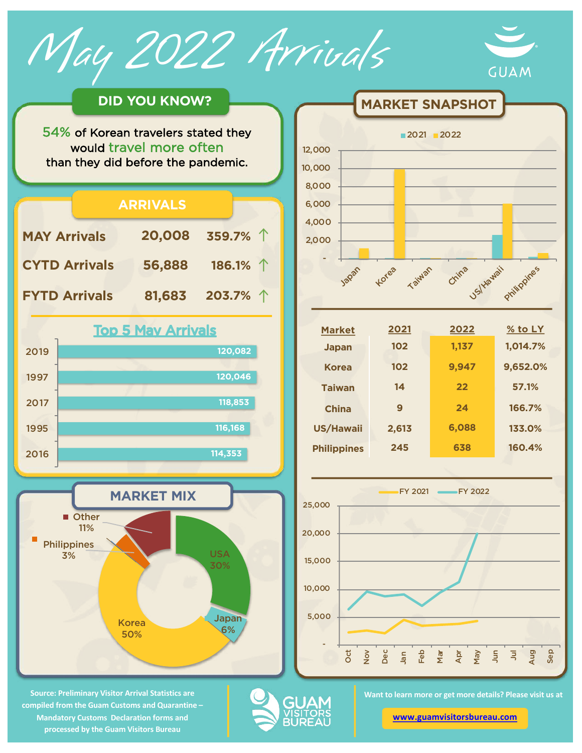May 2022 Arrivals



## **DID YOU KNOW?**

54% of Korean travelers stated they would travel more often than they did before the pandemic.



**Source: Preliminary Visitor Arrival Statistics are compiled from the Guam Customs and Quarantine – Mandatory Customs Declaration forms and processed by the Guam Visitors Bureau** 



**MARKET SNAPSHOT** 

| <b>Market</b>      | 2021  | 2022  | $%$ to LY |
|--------------------|-------|-------|-----------|
| <b>Japan</b>       | 102   | 1,137 | 1,014.7%  |
| <b>Korea</b>       | 102   | 9,947 | 9,652.0%  |
| <b>Taiwan</b>      | 14    | 22    | 57.1%     |
| China              | 9     | 24    | 166.7%    |
| <b>US/Hawaii</b>   | 2,613 | 6,088 | 133.0%    |
| <b>Philippines</b> | 245   | 638   | 160.4%    |
|                    |       |       |           |



GUA

**Want to learn more or get more details? Please visit us at** 

**[www.guamvisitorsbureau.co](https://www.guamvisitorsbureau.com/research-and-reports/research)m**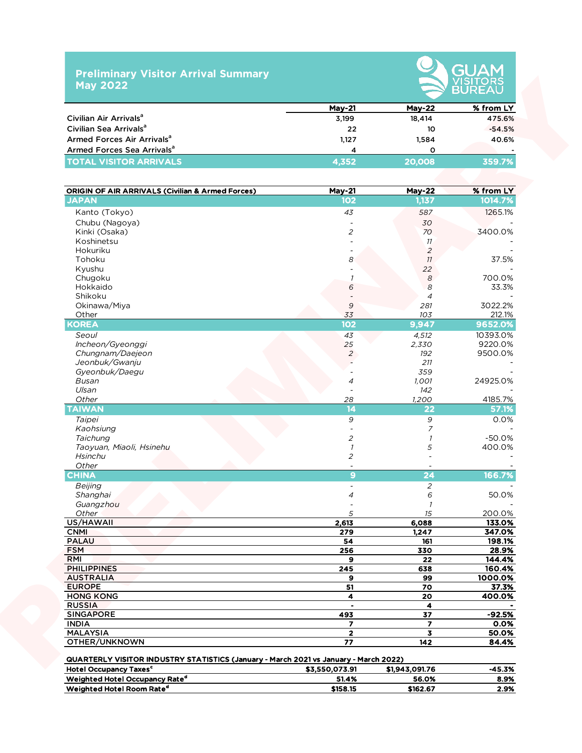## **Preliminary Visitor Arrival Summary May 2022**



|                                        | $Mav-21$               | $Mav-22$ | % from LY |  |  |  |  |  |
|----------------------------------------|------------------------|----------|-----------|--|--|--|--|--|
| Civilian Air Arrivals <sup>a</sup>     | 3.199                  | 18.414   | 475.6%    |  |  |  |  |  |
| Civilian Sea Arrivals <sup>a</sup>     | 22                     | 10       | $-54.5%$  |  |  |  |  |  |
| Armed Forces Air Arrivals <sup>a</sup> | 1.127                  | 1.584    | 40.6%     |  |  |  |  |  |
| Armed Forces Sea Arrivals <sup>a</sup> | $\boldsymbol{\Lambda}$ |          |           |  |  |  |  |  |
| <b>TOTAL VISITOR ARRIVALS</b>          | 4.352                  | 20.008   | 359.7%    |  |  |  |  |  |

|                                                             | <b>May-21</b>           | <b>May-22</b>            | % from LY |
|-------------------------------------------------------------|-------------------------|--------------------------|-----------|
| Civilian Air Arrivals <sup>a</sup>                          | 3,199                   | 18,414                   | 475.6%    |
| Civilian Sea Arrivals <sup>a</sup>                          | 22                      | 10                       | $-54.5%$  |
| Armed Forces Air Arrivals <sup>a</sup>                      | 1,127                   | 1,584                    | 40.6%     |
| Armed Forces Sea Arrivals <sup>a</sup>                      | 4                       | 0                        |           |
| <b>TOTAL VISITOR ARRIVALS</b>                               | 4,352                   | 20,008                   | 359.7%    |
|                                                             |                         |                          |           |
| <b>ORIGIN OF AIR ARRIVALS (Civilian &amp; Armed Forces)</b> | <b>May-21</b>           | <b>May-22</b>            | % from LY |
| <b>JAPAN</b>                                                | 102                     | 1,137                    | 1014.7%   |
| Kanto (Tokyo)                                               | 43                      | 587                      | 1265.1%   |
| Chubu (Nagoya)                                              |                         | 30                       |           |
| Kinki (Osaka)                                               | $\overline{c}$          | 70                       | 3400.0%   |
| Koshinetsu                                                  |                         | 11                       |           |
| Hokuriku                                                    |                         | $\overline{a}$           |           |
| Tohoku                                                      | 8                       | 11                       | 37.5%     |
| Kyushu                                                      |                         | 22                       |           |
| Chugoku                                                     |                         | $\boldsymbol{8}$         | 700.0%    |
| Hokkaido                                                    | 6                       | 8                        | 33.3%     |
| Shikoku                                                     |                         | $\overline{4}$           |           |
| Okinawa/Miya                                                | 9                       | 281                      | 3022.2%   |
| Other                                                       | 33                      | 103                      | 212.1%    |
| <b>KOREA</b>                                                | 102                     | 9,947                    | 9652.0%   |
| Seoul                                                       | 43                      | 4,512                    | 10393.0%  |
| Incheon/Gyeonggi                                            | 25                      | 2,330                    | 9220.0%   |
| Chungnam/Daejeon                                            | $\overline{2}$          | 192                      | 9500.0%   |
| Jeonbuk/Gwanju                                              |                         | 211                      |           |
| Gyeonbuk/Daegu                                              |                         | 359                      |           |
| Busan                                                       | 4                       | 1,001                    | 24925.0%  |
| Ulsan                                                       |                         | 142                      |           |
| Other                                                       | 28                      | 1,200                    | 4185.7%   |
| <b>TAIWAN</b>                                               | 14                      | 22                       | 57.1%     |
| Taipei                                                      | $\overline{9}$          | 9                        | 0.0%      |
| Kaohsiung                                                   |                         | 7                        |           |
| Taichung                                                    | 2                       | $\overline{\phantom{a}}$ | $-50.0%$  |
| Taoyuan, Miaoli, Hsinehu                                    | $\mathcal{I}$           | 5                        | 400.0%    |
| <b>Hsinchu</b>                                              | $\overline{c}$          |                          |           |
| Other                                                       |                         |                          |           |
| <b>CHINA</b>                                                | $\mathbf{9}$            | 24                       | 166.7%    |
| Beijing                                                     |                         | $\overline{a}$           |           |
| Shanghai                                                    | $\overline{a}$          | 6                        | 50.0%     |
| Guangzhou                                                   |                         | 7                        |           |
| Other                                                       | 5                       | 15                       | 200.0%    |
| US/HAWAII                                                   | 2,613                   | 6,088                    | 133.0%    |
| <b>CNMI</b>                                                 | 279                     | 1,247                    | 347.0%    |
| <b>PALAU</b>                                                | 54                      | 161                      | 198.1%    |
| <b>FSM</b>                                                  | 256                     | 330                      | 28.9%     |
| RMI                                                         | 9                       | 22                       | 144.4%    |
| <b>PHILIPPINES</b>                                          | 245                     | 638                      | 160.4%    |
| <b>AUSTRALIA</b>                                            | 9                       | 99                       | 1000.0%   |
| <b>EUROPE</b>                                               | 51                      | 70                       | 37.3%     |
| <b>HONG KONG</b>                                            | 4                       | 20                       | 400.0%    |
| <b>RUSSIA</b>                                               | $\blacksquare$          | $\overline{\mathbf{4}}$  |           |
| <b>SINGAPORE</b>                                            | 493                     | 37                       | $-92.5%$  |
| <b>INDIA</b>                                                | $\overline{\mathbf{z}}$ | $\overline{\mathbf{z}}$  | 0.0%      |
| <b>MALAYSIA</b>                                             | $\mathbf{2}$            | $\overline{\mathbf{3}}$  | 50.0%     |
| OTHER/UNKNOWN                                               | 77                      | 142                      | 84.4%     |

|                                            |                | .              |          |
|--------------------------------------------|----------------|----------------|----------|
| <b>Hotel Occupancy Taxes<sup>c</sup></b>   | \$3.550.073.91 | \$1,943,091.76 | $-45.3%$ |
| Weighted Hotel Occupancy Rate <sup>a</sup> | 51.4%          | 56.0%          | 8.9%     |
| Weighted Hotel Room Rate <sup>d</sup>      | \$158.15       | \$162.67       | 2.9%     |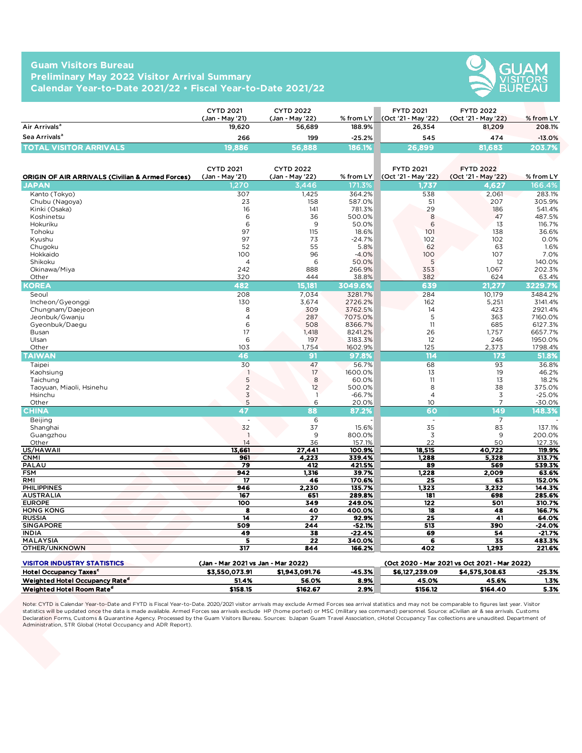## **Guam Visitors Bureau Preliminary May 2022 Visitor Arrival Summary Calendar Year-to-Date 2021/22 • Fiscal Year-to-Date 2021/22**



|                                    | <b>CYTD 2021</b><br>(Jan - Mav '21) | <b>CYTD 2022</b><br>(Jan - Mav '22) | $%$ from LY | <b>FYTD 2021</b><br>(Oct '21 - May '22) | <b>FYTD 2022</b><br>(Oct '21 - May '22) | % from LY |
|------------------------------------|-------------------------------------|-------------------------------------|-------------|-----------------------------------------|-----------------------------------------|-----------|
| Air Arrivals <sup>a</sup>          | 19.620                              | 56.689                              | 188.9%      | 26.354                                  | 81.209                                  | 208.1%    |
| Sea Arrivals <sup>a</sup>          | 266                                 | 199                                 | $-25.2%$    | 545                                     | 474                                     | $-13.0%$  |
| <b>TOTAL</b><br>. VISITOR ARRIVALS | 19,8861                             | 56,888                              | 186.1%      | 26.899                                  | 81.683                                  | 203.7%    |

|                                                                                | <b>CYTD 2021</b>                                     | <b>CYTD 2022</b>          |                       | <b>FYTD 2021</b>               | <b>FYTD 2022</b>                             |                     |
|--------------------------------------------------------------------------------|------------------------------------------------------|---------------------------|-----------------------|--------------------------------|----------------------------------------------|---------------------|
| Air Arrivals <sup>a</sup>                                                      | (Jan - May '21)<br>19,620                            | (Jan - May '22)<br>56,689 | % from LY<br>188.9%   | (Oct '21 - May '22)<br>26,354  | (Oct '21 - May '22)<br>81,209                | % from LY<br>208.1% |
| Sea Arrivals <sup>a</sup>                                                      |                                                      |                           |                       |                                |                                              |                     |
|                                                                                | 266                                                  | 199                       | $-25.2%$              | 545                            | 474                                          | $-13.0%$            |
| <b>TOTAL VISITOR ARRIVALS</b>                                                  | 19,886                                               | 56,888                    | 186.1%                | 26,899                         | 81,683                                       | 203.7%              |
|                                                                                |                                                      |                           |                       |                                |                                              |                     |
|                                                                                | <b>CYTD 2021</b>                                     | <b>CYTD 2022</b>          |                       | <b>FYTD 2021</b>               | <b>FYTD 2022</b>                             |                     |
| <b>ORIGIN OF AIR ARRIVALS (Civilian &amp; Armed Forces)</b><br>JAPAN           | (Jan - May '21)<br>,270                              | (Jan - May '22)<br>3,446  | % from $LY$<br>171.3% | (Oct '21 - May '22)<br>1,737   | (Oct '21 - May '22)<br>4,627                 | % from LY<br>166.4% |
| Kanto (Tokyo)                                                                  | 307                                                  | 1,425                     | 364.2%                | 538                            | 2,061                                        | 283.1%              |
| Chubu (Nagoya)                                                                 | 23                                                   | 158                       | 587.0%                | 51                             | 207                                          | 305.9%              |
| Kinki (Osaka)                                                                  | 16                                                   | 141                       | 781.3%                | 29                             | 186                                          | 541.4%              |
| Koshinetsu                                                                     | 6                                                    | 36                        | 500.0%                | 8                              | 47                                           | 487.5%              |
| Hokuriku                                                                       | 6                                                    | 9                         | 50.0%                 | 6                              | 13                                           | 116.7%              |
| Tohoku                                                                         | 97                                                   | 115                       | 18.6%                 | 101                            | 138                                          | 36.6%               |
| Kyushu                                                                         | 97                                                   | 73                        | $-24.7%$              | 102                            | 102                                          | 0.0%                |
| Chugoku                                                                        | 52                                                   | 55                        | 5.8%                  | 62                             | 63                                           | 1.6%                |
| Hokkaido<br>Shikoku                                                            | 100<br>$\overline{4}$                                | 96<br>6                   | $-4.0%$               | 100<br>5                       | 107<br>12                                    | 7.0%                |
| Okinawa/Miya                                                                   | 242                                                  | 888                       | 50.0%<br>266.9%       | 353                            | 1,067                                        | 140.0%<br>202.3%    |
| Other                                                                          | 320                                                  | 444                       | 38.8%                 | 382                            | 624                                          | 63.4%               |
| KOREA                                                                          | 482                                                  | 15,181                    | 3049.6%               | 639                            | 21,277                                       | 3229.7%             |
| Seoul                                                                          | 208                                                  | 7,034                     | 3281.7%               | 284                            | 10,179                                       | 3484.2%             |
| Incheon/Gyeonggi                                                               | 130                                                  | 3,674                     | 2726.2%               | 162                            | 5,251                                        | 3141.4%             |
| Chungnam/Daejeon                                                               | 8                                                    | 309                       | 3762.5%               | 14                             | 423                                          | 2921.4%             |
| Jeonbuk/Gwanju                                                                 | $\overline{4}$                                       | 287                       | 7075.0%               | 5                              | 363                                          | 7160.0%             |
| Gyeonbuk/Daegu                                                                 | 6                                                    | 508                       | 8366.7%               | 11                             | 685                                          | 6127.3%             |
| Busan                                                                          | 17                                                   | 1,418                     | 8241.2%               | 26                             | 1,757                                        | 6657.7%             |
| Ulsan                                                                          | 6                                                    | 197                       | 3183.3%               | 12                             | 246                                          | 1950.0%             |
| Other                                                                          | 103                                                  | 1,754                     | 1602.9%               | 125                            | 2,373                                        | 1798.4%             |
| <b>TAIWAN</b>                                                                  | 46                                                   | 91                        | 97.8%                 | 114                            | 173                                          | 51.8%               |
| Taipei                                                                         | 30                                                   | 47                        | 56.7%                 | 68                             | 93                                           | 36.8%               |
| Kaohsiung                                                                      | $\overline{\phantom{a}}$                             | 17                        | 1600.0%               | 13                             | 19                                           | 46.2%               |
| Taichung                                                                       | $\frac{5}{2}$                                        | 8                         | 60.0%                 | 11                             | 13                                           | 18.2%               |
| Taoyuan, Miaoli, Hsinehu                                                       |                                                      | 12                        | 500.0%                | 8                              | 38                                           | 375.0%              |
| Hsinchu                                                                        | $\mathfrak Z$<br>5                                   | -1<br>6                   | $-66.7%$              | $\overline{4}$<br>10           | 3<br>$\overline{7}$                          | $-25.0%$            |
| Other<br><b>CHINA</b>                                                          | 47                                                   | 88                        | 20.0%<br>87.2%        | 60                             | 149                                          | $-30.0%$<br>148.3%  |
|                                                                                |                                                      |                           |                       |                                |                                              |                     |
| Beijing<br>Shanghai                                                            | 32                                                   | 6<br>37                   | 15.6%                 | $\overline{\phantom{a}}$<br>35 | $\overline{7}$<br>83                         | 137.1%              |
| Guangzhou                                                                      | $\overline{1}$                                       | 9                         | 800.0%                | $\mathfrak Z$                  | 9                                            | 200.0%              |
| Other                                                                          | 14                                                   | 36                        | 157.1%                | 22                             | 50                                           | 127.3%              |
| US/HAWAII                                                                      | 13,661                                               | 27,441                    | 100.9%                | 18,515                         | 40,722                                       | 119.9%              |
| <b>CNMI</b>                                                                    | 961                                                  | 4,223                     | 339.4%                | 1,288                          | 5,328                                        | 313.7%              |
| PALAU                                                                          | 79                                                   | 412                       | 421.5%                | 89                             | 569                                          | 539.3%              |
| <b>FSM</b>                                                                     | 942                                                  | 1,316                     | 39.7%                 | 1,228                          | 2,009                                        | 63.6%               |
| RMI                                                                            | 17                                                   | 46                        | 170.6%                | 25                             | 63                                           | 152.0%              |
| <b>PHILIPPINES</b>                                                             | 946                                                  | 2,230                     | 135.7%                | 1,323                          | 3,232                                        | 144.3%              |
| <b>AUSTRALIA</b><br><b>EUROPE</b>                                              | 167<br>100                                           | 651<br>349                | 289.8%<br>249.0%      | 181<br>$\overline{122}$        | 698<br>501                                   | 285.6%<br>310.7%    |
| <b>HONG KONG</b>                                                               | 8                                                    | 40                        | 400.0%                | 18                             | 48                                           | 166.7%              |
| <b>RUSSIA</b>                                                                  | 14                                                   | 27                        | 92.9%                 | 25                             | 41                                           | 64.0%               |
| <b>SINGAPORE</b>                                                               | 509                                                  | 244                       | $-52.1%$              | 513                            | 390                                          | $-24.0%$            |
| <b>INDIA</b>                                                                   | 49                                                   | 38                        | -22.4%                | 69                             | 54                                           | $-21.7%$            |
| MALAYSIA                                                                       | 5                                                    | 22                        | 340.0%                | 6                              | 35                                           | 483.3%              |
| OTHER/UNKNOWN                                                                  | 317                                                  | 844                       | 166.2%                | 402                            | 1,293                                        | 221.6%              |
|                                                                                |                                                      |                           |                       |                                | (Oct 2020 - Mar 2021 vs Oct 2021 - Mar 2022) |                     |
| <b>VISITOR INDUSTRY STATISTICS</b><br><b>Hotel Occupancy Taxes<sup>c</sup></b> | (Jan - Mar 2021 vs Jan - Mar 2022)<br>\$3,550,073.91 | \$1,943,091.76            | $-45.3%$              | \$6,127,239.09                 | \$4,575,308.63                               | $-25.3%$            |
|                                                                                | 51.4%                                                | 56.0%                     | 8.9%                  | 45.0%                          |                                              | 1.3%                |
| Weighted Hotel Occupancy Rate <sup>d</sup>                                     |                                                      | \$162.67                  | 2.9%                  | \$156.12                       | 45.6%<br>\$164.40                            | 5.3%                |

| <b>VISITOR INDUSTRY STATISTICS</b>         | (Jan - Mar 2021 vs Jan - Mar 2022) |                |          | (Oct 2020 - Mar 2021 vs Oct 2021 - Mar 2022) |                |        |  |  |  |
|--------------------------------------------|------------------------------------|----------------|----------|----------------------------------------------|----------------|--------|--|--|--|
| <b>Hotel Occupancy Taxes<sup>c</sup></b>   | \$3.550.073.91                     | \$1,943,091.76 | $-45.3%$ | \$6,127,239,09                               | \$4.575.308.63 | -25.3% |  |  |  |
| Weighted Hotel Occupancy Rate <sup>d</sup> | 51.4%                              | 56.0%          | 8.9%     | 45.0%                                        | 45.6%          | 1.3%   |  |  |  |
| Weighted Hotel Room Rate <sup>d</sup>      | \$158.15                           | \$162.67       | 2.9%     | \$156.12                                     | \$164.40       | 5.3%   |  |  |  |